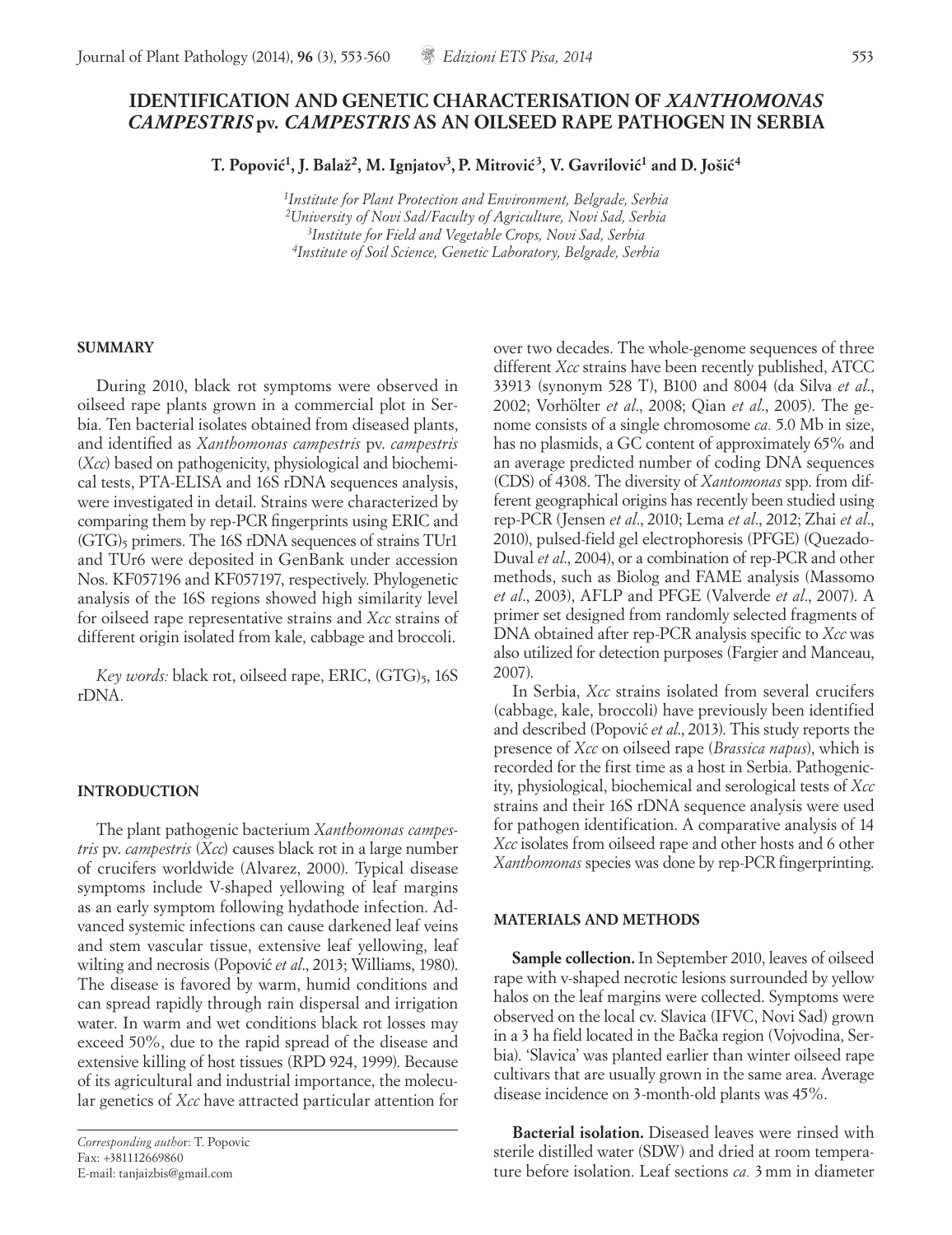# **IDENTIFICATION AND GENETIC CHARACTERISATION OF** *XANTHOMONAS CAMPESTRIS* **pv.** *CAMPESTRIS* **AS AN OILSEED RAPE PATHOGEN IN SERBIA**

**T. Popovic´1, J. Balaž2, M. Ignjatov3, P. Mitrovic´ 3, V. Gavrilovic´1 and D. Jošic´4**

*1Institute for Plant Protection and Environment, Belgrade, Serbia 2University of Novi Sad/Faculty of Agriculture, Novi Sad, Serbia 3Institute for Field and Vegetable Crops, Novi Sad, Serbia 4Institute of Soil Science, Genetic Laboratory, Belgrade, Serbia*

#### **SUMMARY**

During 2010, black rot symptoms were observed in oilseed rape plants grown in a commercial plot in Serbia. Ten bacterial isolates obtained from diseased plants, and identified as *Xanthomonas campestris* pv. *campestris*  (*Xcc*) based on pathogenicity, physiological and biochemical tests, PTA-ELISA and 16S rDNA sequences analysis, were investigated in detail. Strains were characterized by comparing them by rep-PCR fingerprints using ERIC and  $(GTG)$ <sub>5</sub> primers. The 16S rDNA sequences of strains TUr1 and TUr6 were deposited in GenBank under accession Nos. KF057196 and KF057197, respectively. Phylogenetic analysis of the 16S regions showed high similarity level for oilseed rape representative strains and *Xcc* strains of different origin isolated from kale, cabbage and broccoli.

*Key words:* black rot, oilseed rape, ERIC, (GTG)<sub>5</sub>, 16S rDNA.

## **INTRODUCTION**

The plant pathogenic bacterium *Xanthomonas campestris* pv. *campestris* (*Xcc*) causes black rot in a large number of crucifers worldwide (Alvarez, 2000). Typical disease symptoms include V-shaped yellowing of leaf margins as an early symptom following hydathode infection. Advanced systemic infections can cause darkened leaf veins and stem vascular tissue, extensive leaf yellowing, leaf wilting and necrosis (Popović *et al.*, 2013; Williams, 1980). The disease is favored by warm, humid conditions and can spread rapidly through rain dispersal and irrigation water. In warm and wet conditions black rot losses may exceed 50%, due to the rapid spread of the disease and extensive killing of host tissues (RPD 924, 1999). Because of its agricultural and industrial importance, the molecular genetics of *Xcc* have attracted particular attention for

*Corresponding autho*r: T. Popovic Fax: +381112669860 E-mail: tanjaizbis@gmail.com

over two decades. The whole-genome sequences of three different *Xcc* strains have been recently published, ATCC 33913 (synonym 528 T), B100 and 8004 (da Silva *et al*., 2002; Vorhölter *et al*., 2008; Qian *et al*., 2005). The genome consists of a single chromosome *ca.* 5.0 Mb in size, has no plasmids, a GC content of approximately 65% and an average predicted number of coding DNA sequences (CDS) of 4308. The diversity of *Xantomonas* spp. from different geographical origins has recently been studied using rep-PCR (Jensen *et al*., 2010; Lema *et al*., 2012; Zhai *et al*., 2010), pulsed-field gel electrophoresis (PFGE) (Quezado-Duval *et al*., 2004), or a combination of rep-PCR and other methods, such as Biolog and FAME analysis (Massomo *et al*., 2003), AFLP and PFGE (Valverde *et al*., 2007). A primer set designed from randomly selected fragments of DNA obtained after rep-PCR analysis specific to *Xcc* was also utilized for detection purposes (Fargier and Manceau, 2007).

In Serbia, *Xcc* strains isolated from several crucifers (cabbage, kale, broccoli) have previously been identified and described (Popović et al., 2013). This study reports the presence of *Xcc* on oilseed rape (*Brassica napus*), which is recorded for the first time as a host in Serbia. Pathogenicity, physiological, biochemical and serological tests of *Xcc* strains and their 16S rDNA sequence analysis were used for pathogen identification. A comparative analysis of 14 *Xcc* isolates from oilseed rape and other hosts and 6 other *Xanthomonas* species was done by rep-PCR fingerprinting.

## **MATERIALS AND METHODS**

**Sample collection.**In September 2010, leaves of oilseed rape with v-shaped necrotic lesions surrounded by yellow halos on the leaf margins were collected. Symptoms were observed on the local cv. Slavica (IFVC, Novi Sad) grown in a 3 ha field located in the Bačka region (Vojvodina, Serbia). 'Slavica' was planted earlier than winter oilseed rape cultivars that are usually grown in the same area. Average disease incidence on 3-month-old plants was 45%.

**Bacterial isolation.** Diseased leaves were rinsed with sterile distilled water (SDW) and dried at room temperature before isolation. Leaf sections *ca.* 3mm in diameter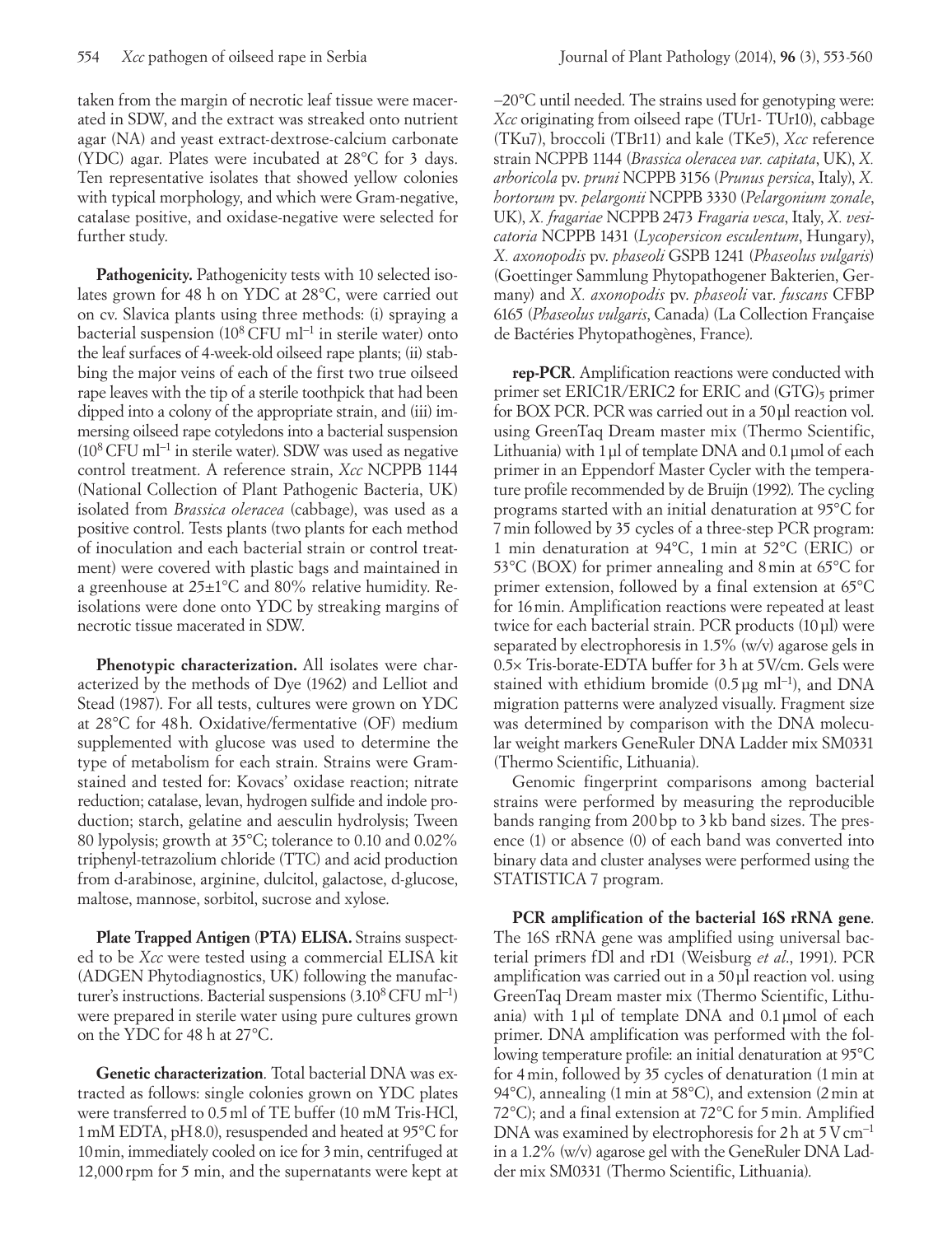taken from the margin of necrotic leaf tissue were macerated in SDW, and the extract was streaked onto nutrient agar (NA) and yeast extract-dextrose-calcium carbonate (YDC) agar. Plates were incubated at 28°C for 3 days. Ten representative isolates that showed yellow colonies with typical morphology, and which were Gram-negative, catalase positive, and oxidase-negative were selected for further study.

**Pathogenicity.** Pathogenicity tests with 10 selected isolates grown for 48 h on YDC at 28°C, were carried out on cv. Slavica plants using three methods: (i) spraying a bacterial suspension (108 CFU ml−1 in sterile water) onto the leaf surfaces of 4-week-old oilseed rape plants; (ii) stabbing the major veins of each of the first two true oilseed rape leaves with the tip of a sterile toothpick that had been dipped into a colony of the appropriate strain, and (iii) immersing oilseed rape cotyledons into a bacterial suspension (108 CFU ml−1 in sterile water). SDW was used as negative control treatment. A reference strain, *Xcc* NCPPB 1144 (National Collection of Plant Pathogenic Bacteria, UK) isolated from *Brassica oleracea* (cabbage), was used as a positive control. Tests plants (two plants for each method of inoculation and each bacterial strain or control treatment) were covered with plastic bags and maintained in a greenhouse at 25±1°C and 80% relative humidity. Reisolations were done onto YDC by streaking margins of necrotic tissue macerated in SDW.

**Phenotypic characterization.** All isolates were characterized by the methods of Dye (1962) and Lelliot and Stead (1987). For all tests, cultures were grown on YDC at 28°C for 48h. Oxidative/fermentative (OF) medium supplemented with glucose was used to determine the type of metabolism for each strain. Strains were Gramstained and tested for: Kovacs' oxidase reaction; nitrate reduction; catalase, levan, hydrogen sulfide and indole production; starch, gelatine and aesculin hydrolysis; Tween 80 lypolysis; growth at 35°C; tolerance to 0.10 and 0.02% triphenyl-tetrazolium chloride (TTC) and acid production from d-arabinose, arginine, dulcitol, galactose, d-glucose, maltose, mannose, sorbitol, sucrose and xylose.

**Plate Trapped Antigen** (**PTA) ELISA.** Strains suspected to be *Xcc* were tested using a commercial ELISA kit (ADGEN Phytodiagnostics, UK) following the manufacturer's instructions. Bacterial suspensions (3.108 CFU ml−1) were prepared in sterile water using pure cultures grown on the YDC for 48 h at 27°C.

**Genetic characterization**. Total bacterial DNA was extracted as follows: single colonies grown on YDC plates were transferred to 0.5ml of TE buffer (10 mM Tris-HCl, 1mM EDTA, pH8.0), resuspended and heated at 95°C for 10min, immediately cooled on ice for 3min, centrifuged at 12,000 rpm for 5 min, and the supernatants were kept at

−20°C until needed. The strains used for genotyping were: *Xcc* originating from oilseed rape (TUr1- TUr10), cabbage (TKu7), broccoli (TBr11) and kale (TKe5), *Xcc* reference strain NCPPB 1144 (*Brassica oleracea var. capitata*, UK), *X. arboricola* pv. *pruni* NCPPB 3156 (*Prunus persica*, Italy), *X. hortorum* pv. *pelargonii* NCPPB 3330 (*Pelargonium zonale*, UK), *X. fragariae* NCPPB 2473 *Fragaria vesca*, Italy, *X. vesicatoria* NCPPB 1431 (*Lycopersicon esculentum*, Hungary), *X. axonopodis* pv. *phaseoli* GSPB 1241 (*Phaseolus vulgaris*) (Goettinger Sammlung Phytopathogener Bakterien, Germany) and *X. axonopodis* pv. *phaseoli* var. *fuscans* CFBP 6165 (*Phaseolus vulgaris*, Canada) (La Collection Française de Bactéries Phytopathogènes, France).

**rep-PCR**. Amplification reactions were conducted with primer set ERIC1R/ERIC2 for ERIC and (GTG)<sub>5</sub> primer for BOX PCR. PCR was carried out in a 50µl reaction vol. using GreenTaq Dream master mix (Thermo Scientific, Lithuania) with 1 µl of template DNA and 0.1 µmol of each primer in an Eppendorf Master Cycler with the temperature profile recommended by de Bruijn (1992). The cycling programs started with an initial denaturation at 95°C for 7min followed by 35 cycles of a three-step PCR program: 1 min denaturation at 94°C, 1min at 52°C (ERIC) or 53°C (BOX) for primer annealing and 8min at 65°C for primer extension, followed by a final extension at 65°C for 16min. Amplification reactions were repeated at least twice for each bacterial strain. PCR products (10µl) were separated by electrophoresis in 1.5% (w/v) agarose gels in 0.5× Tris-borate-EDTA buffer for 3h at 5V/cm. Gels were stained with ethidium bromide (0.5 µg ml<sup>-1</sup>), and DNA migration patterns were analyzed visually. Fragment size was determined by comparison with the DNA molecular weight markers GeneRuler DNA Ladder mix SM0331 (Thermo Scientific, Lithuania).

Genomic fingerprint comparisons among bacterial strains were performed by measuring the reproducible bands ranging from 200bp to 3 kb band sizes. The presence (1) or absence (0) of each band was converted into binary data and cluster analyses were performed using the STATISTICA 7 program.

**PCR amplification of the bacterial 16S rRNA gene**. The 16S rRNA gene was amplified using universal bacterial primers fDl and rD1 (Weisburg *et al*., 1991). PCR amplification was carried out in a 50µl reaction vol. using GreenTaq Dream master mix (Thermo Scientific, Lithuania) with 1µl of template DNA and 0.1µmol of each primer. DNA amplification was performed with the following temperature profile: an initial denaturation at 95°C for 4min, followed by 35 cycles of denaturation (1min at 94°C), annealing (1min at 58°C), and extension (2min at 72°C); and a final extension at 72°C for 5min. Amplified DNA was examined by electrophoresis for 2h at  $5V$ cm<sup>-1</sup> in a 1.2% (w/v) agarose gel with the GeneRuler DNA Ladder mix SM0331 (Thermo Scientific, Lithuania).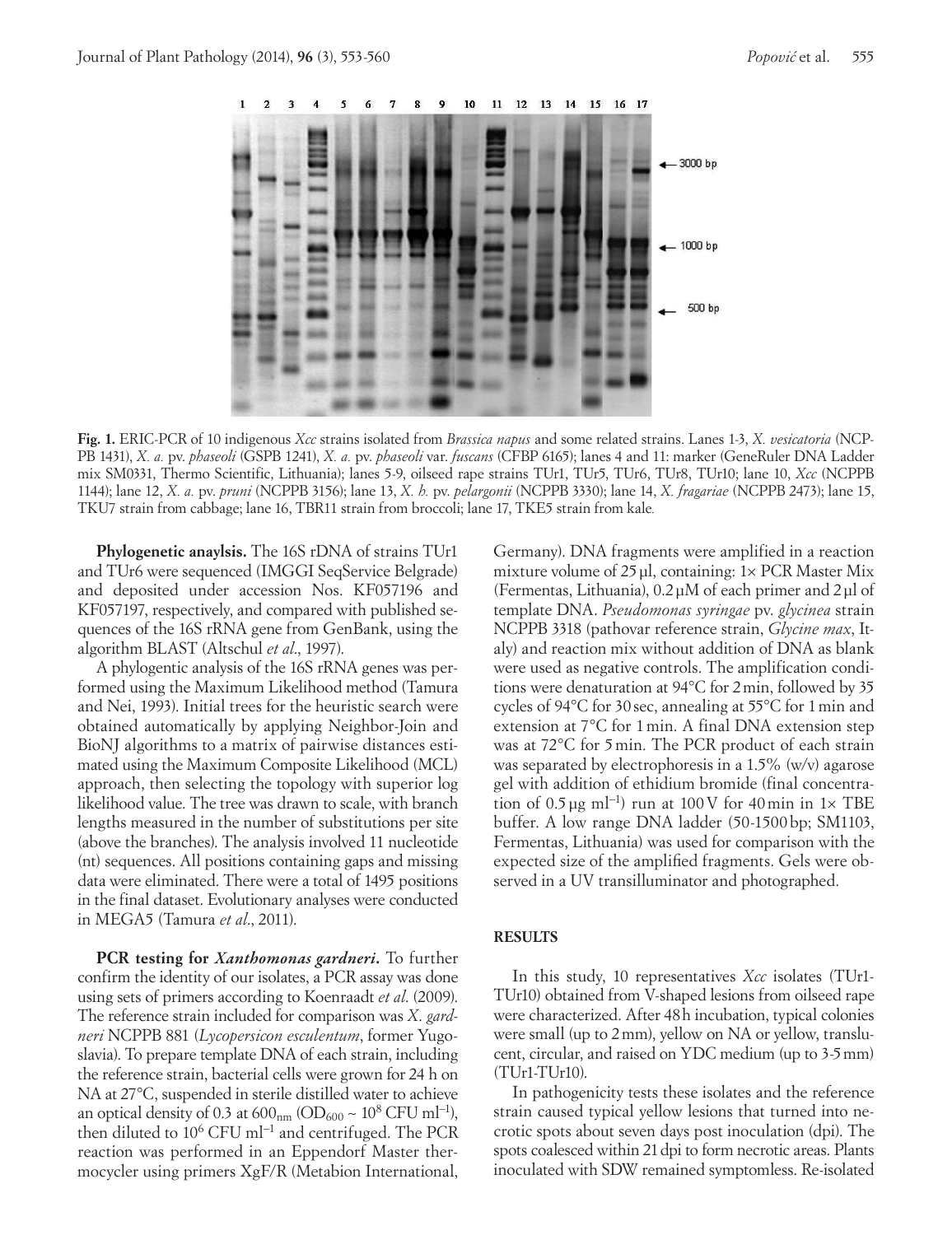

**Fig. 1.** ERIC-PCR of 10 indigenous *Xcc* strains isolated from *Brassica napus* and some related strains. Lanes 1-3, *X. vesicatoria* (NCP-PB 1431), *X. a.* pv. *phaseoli* (GSPB 1241), *X. a.* pv. *phaseoli* var. *fuscans* (CFBP 6165); lanes 4 and 11: marker (GeneRuler DNA Ladder mix SM0331, Thermo Scientific, Lithuania); lanes 5-9, oilseed rape strains TUr1, TUr5, TUr6, TUr8, TUr10; lane 10, *Xcc* (NCPPB 1144); lane 12, *X. a.* pv. *pruni* (NCPPB 3156); lane 13, *X. h.* pv. *pelargonii* (NCPPB 3330); lane 14, *X. fragariae* (NCPPB 2473); lane 15, TKU7 strain from cabbage; lane 16, TBR11 strain from broccoli; lane 17, TKE5 strain from kale*.*

**Phylogenetic anaylsis.** The 16S rDNA of strains TUr1 and TUr6 were sequenced (IMGGI SeqService Belgrade) and deposited under accession Nos. KF057196 and KF057197, respectively, and compared with published sequences of the 16S rRNA gene from GenBank, using the algorithm BLAST (Altschul *et al*., 1997).

A phylogentic analysis of the 16S rRNA genes was performed using the Maximum Likelihood method (Tamura and Nei, 1993). Initial trees for the heuristic search were obtained automatically by applying Neighbor-Join and BioNJ algorithms to a matrix of pairwise distances estimated using the Maximum Composite Likelihood (MCL) approach, then selecting the topology with superior log likelihood value. The tree was drawn to scale, with branch lengths measured in the number of substitutions per site (above the branches). The analysis involved 11 nucleotide (nt) sequences. All positions containing gaps and missing data were eliminated. There were a total of 1495 positions in the final dataset. Evolutionary analyses were conducted in MEGA5 (Tamura *et al*., 2011).

**PCR testing for** *Xanthomonas gardneri***.** To further confirm the identity of our isolates, a PCR assay was done using sets of primers according to Koenraadt *et al*. (2009). The reference strain included for comparison was *X*. *gardneri* NCPPB 881 (*Lycopersicon esculentum*, former Yugoslavia). To prepare template DNA of each strain, including the reference strain, bacterial cells were grown for 24 h on NA at 27°C, suspended in sterile distilled water to achieve an optical density of 0.3 at  $600<sub>nm</sub>$  (OD<sub>600</sub> ~ 10<sup>8</sup> CFU ml<sup>-1</sup>), then diluted to 106 CFU ml−1 and centrifuged. The PCR reaction was performed in an Eppendorf Master thermocycler using primers XgF/R (Metabion International,

Germany). DNA fragments were amplified in a reaction mixture volume of  $25 \mu l$ , containing:  $1 \times PCR$  Master Mix (Fermentas, Lithuania), 0.2μM of each primer and 2μl of template DNA. *Pseudomonas syringae* pv. *glycinea* strain NCPPB 3318 (pathovar reference strain, *Glycine max*, Italy) and reaction mix without addition of DNA as blank were used as negative controls. The amplification conditions were denaturation at 94°C for 2min, followed by 35 cycles of 94°C for 30sec, annealing at 55°C for 1min and extension at 7°C for 1min. A final DNA extension step was at 72°C for 5min. The PCR product of each strain was separated by electrophoresis in a 1.5% (w/v) agarose gel with addition of ethidium bromide (final concentration of 0.5 μg ml<sup>-1</sup>) run at 100 V for 40 min in 1× TBE buffer. A low range DNA ladder (50-1500bp; SM1103, Fermentas, Lithuania) was used for comparison with the expected size of the amplified fragments. Gels were observed in a UV transilluminator and photographed.

## **RESULTS**

In this study, 10 representatives *Xcc* isolates (TUr1- TUr10) obtained from V-shaped lesions from oilseed rape were characterized. After 48h incubation, typical colonies were small (up to 2mm), yellow on NA or yellow, translucent, circular, and raised on YDC medium (up to 3-5mm) (TUr1-TUr10).

In pathogenicity tests these isolates and the reference strain caused typical yellow lesions that turned into necrotic spots about seven days post inoculation (dpi). The spots coalesced within 21dpi to form necrotic areas. Plants inoculated with SDW remained symptomless. Re-isolated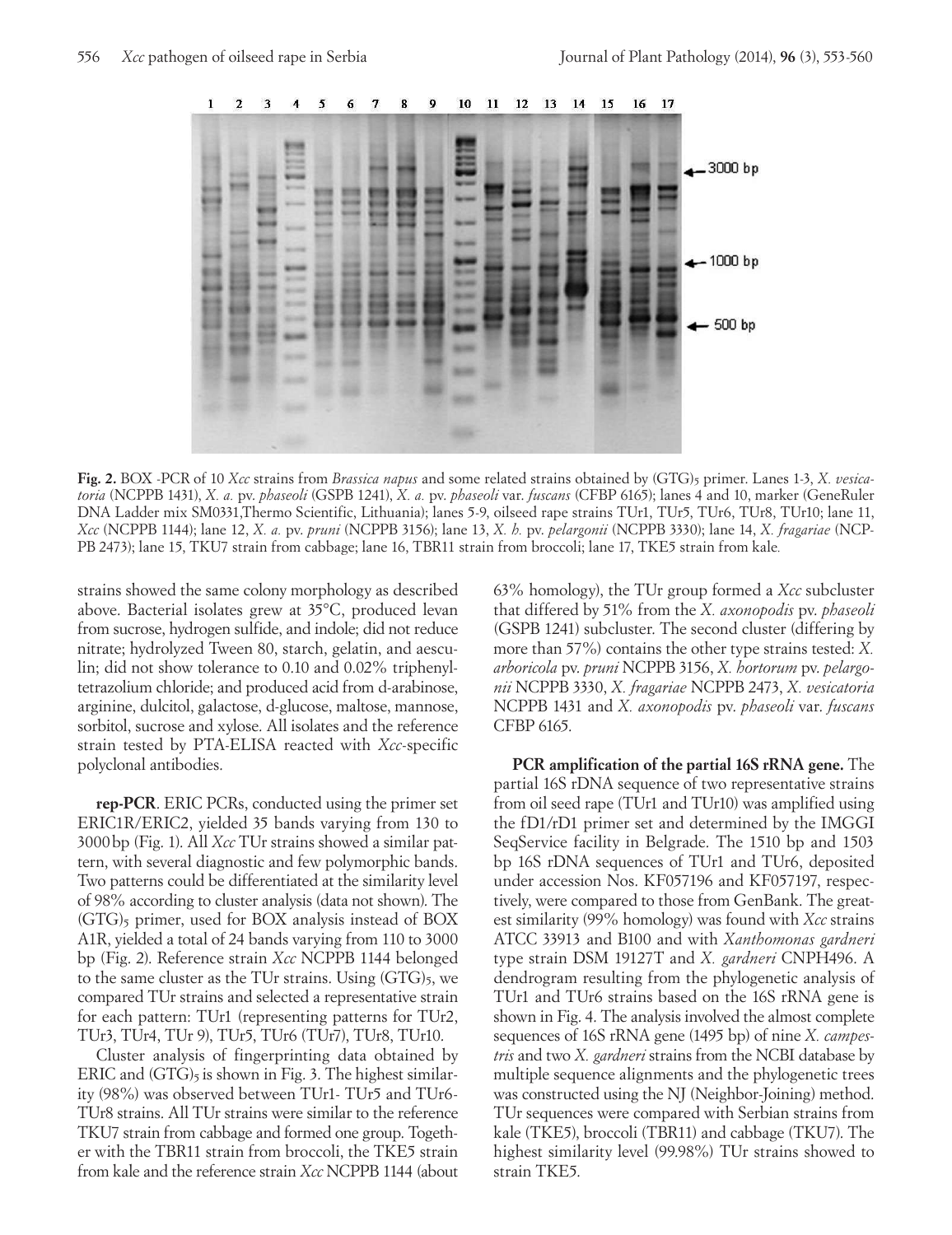

Fig. 2. BOX -PCR of 10 *Xcc* strains from *Brassica napus* and some related strains obtained by (GTG)<sub>5</sub> primer. Lanes 1-3, *X. vesicatoria* (NCPPB 1431), *X. a.* pv. *phaseoli* (GSPB 1241), *X. a.* pv. *phaseoli* var. *fuscans* (CFBP 6165); lanes 4 and 10, marker (GeneRuler DNA Ladder mix SM0331,Thermo Scientific, Lithuania); lanes 5-9, oilseed rape strains TUr1, TUr5, TUr6, TUr8, TUr10; lane 11, *Xcc* (NCPPB 1144); lane 12, *X. a.* pv. *pruni* (NCPPB 3156); lane 13, *X. h.* pv. *pelargonii* (NCPPB 3330); lane 14, *X. fragariae* (NCP-PB 2473); lane 15, TKU7 strain from cabbage; lane 16, TBR11 strain from broccoli; lane 17, TKE5 strain from kale*.*

strains showed the same colony morphology as described above. Bacterial isolates grew at 35°C, produced levan from sucrose, hydrogen sulfide, and indole; did not reduce nitrate; hydrolyzed Tween 80, starch, gelatin, and aesculin; did not show tolerance to 0.10 and 0.02% triphenyltetrazolium chloride; and produced acid from d-arabinose, arginine, dulcitol, galactose, d-glucose, maltose, mannose, sorbitol, sucrose and xylose. All isolates and the reference strain tested by PTA-ELISA reacted with *Xcc*-specific polyclonal antibodies.

**rep-PCR**. ERIC PCRs, conducted using the primer set ERIC1R/ERIC2, yielded 35 bands varying from 130 to 3000bp (Fig. 1). All *Xcc* TUr strains showed a similar pattern, with several diagnostic and few polymorphic bands. Two patterns could be differentiated at the similarity level of 98% according to cluster analysis (data not shown). The (GTG)<sub>5</sub> primer, used for BOX analysis instead of BOX A1R, yielded a total of 24 bands varying from 110 to 3000 bp (Fig. 2). Reference strain *Xcc* NCPPB 1144 belonged to the same cluster as the TUr strains. Using  $(GTG)_5$ , we compared TUr strains and selected a representative strain for each pattern: TUr1 (representing patterns for TUr2, TUr3, TUr4, TUr 9), TUr5, TUr6 (TUr7), TUr8, TUr10.

Cluster analysis of fingerprinting data obtained by ERIC and  $(GTG)_5$  is shown in Fig. 3. The highest similarity (98%) was observed between TUr1- TUr5 and TUr6- TUr8 strains. All TUr strains were similar to the reference TKU7 strain from cabbage and formed one group. Together with the TBR11 strain from broccoli, the TKE5 strain from kale and the reference strain *Xcc* NCPPB 1144 (about 63% homology), the TUr group formed a *Xcc* subcluster that differed by 51% from the *X. axonopodis* pv. *phaseoli* (GSPB 1241) subcluster. The second cluster (differing by more than 57%) contains the other type strains tested: *X. arboricola* pv. *pruni* NCPPB 3156, *X. hortorum* pv. *pelargonii* NCPPB 3330, *X. fragariae* NCPPB 2473, *X. vesicatoria*  NCPPB 1431 and *X. axonopodis* pv. *phaseoli* var. *fuscans* CFBP 6165.

**PCR amplification of the partial 16S rRNA gene.** The partial 16S rDNA sequence of two representative strains from oil seed rape (TUr1 and TUr10) was amplified using the fD1/rD1 primer set and determined by the IMGGI SeqService facility in Belgrade. The 1510 bp and 1503 bp 16S rDNA sequences of TUr1 and TUr6, deposited under accession Nos. KF057196 and KF057197, respectively, were compared to those from GenBank. The greatest similarity (99% homology) was found with *Xcc* strains ATCC 33913 and B100 and with *Xanthomonas gardneri* type strain DSM 19127T and *X. gardneri* CNPH496. A dendrogram resulting from the phylogenetic analysis of TUr1 and TUr6 strains based on the 16S rRNA gene is shown in Fig. 4. The analysis involved the almost complete sequences of 16S rRNA gene (1495 bp) of nine *X. campestris* and two *X. gardneri* strains from the NCBI database by multiple sequence alignments and the phylogenetic trees was constructed using the NJ (Neighbor-Joining) method. TUr sequences were compared with Serbian strains from kale (TKE5), broccoli (TBR11) and cabbage (TKU7). The highest similarity level (99.98%) TUr strains showed to strain TKE5.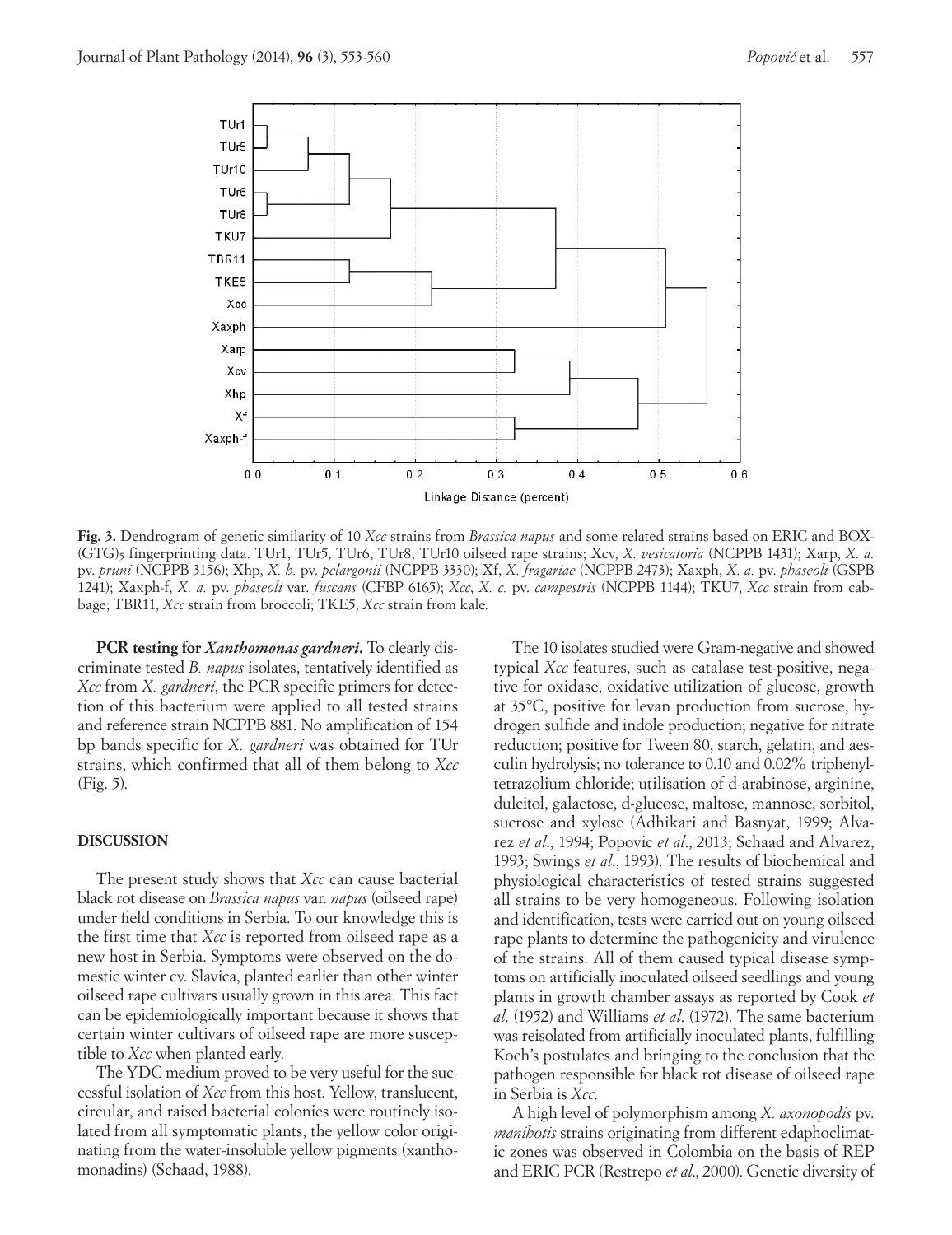

**Fig. 3.** Dendrogram of genetic similarity of 10 *Xcc* strains from *Brassica napus* and some related strains based on ERIC and BOX- (GTG)5 fingerprinting data. TUr1, TUr5, TUr6, TUr8, TUr10 oilseed rape strains; Xcv, *X. vesicatoria* (NCPPB 1431); Xarp, *X. a.*  pv. *pruni* (NCPPB 3156); Xhp, *X. h.* pv. *pelargonii* (NCPPB 3330); Xf, *X. fragariae* (NCPPB 2473); Xaxph, *X. a.* pv. *phaseoli* (GSPB 1241); Xaxph-f, *X. a.* pv. *phaseoli* var. *fuscans* (CFBP 6165); *Xcc*, *X. c.* pv. *campestris* (NCPPB 1144); TKU7, *Xcc* strain from cabbage; TBR11, *Xcc* strain from broccoli; TKE5, *Xcc* strain from kale*.*

**PCR testing for** *Xanthomonas gardneri***.** To clearly discriminate tested *B. napus* isolates, tentatively identified as *Xcc* from *X. gardneri*, the PCR specific primers for detection of this bacterium were applied to all tested strains and reference strain NCPPB 881. No amplification of 154 bp bands specific for *X. gardneri* was obtained for TUr strains, which confirmed that all of them belong to *Xcc* (Fig. 5).

### **DISCUSSION**

The present study shows that *Xcc* can cause bacterial black rot disease on *Brassica napus* var. *napus* (oilseed rape) under field conditions in Serbia. To our knowledge this is the first time that *Xcc* is reported from oilseed rape as a new host in Serbia. Symptoms were observed on the domestic winter cv. Slavica, planted earlier than other winter oilseed rape cultivars usually grown in this area. This fact can be epidemiologically important because it shows that certain winter cultivars of oilseed rape are more susceptible to *Xcc* when planted early.

The YDC medium proved to be very useful for the successful isolation of *Xcc* from this host. Yellow, translucent, circular, and raised bacterial colonies were routinely isolated from all symptomatic plants, the yellow color originating from the water-insoluble yellow pigments (xanthomonadins) (Schaad, 1988).

The 10 isolates studied were Gram-negative and showed typical *Xcc* features, such as catalase test-positive, negative for oxidase, oxidative utilization of glucose, growth at 35°C, positive for levan production from sucrose, hydrogen sulfide and indole production; negative for nitrate reduction; positive for Tween 80, starch, gelatin, and aesculin hydrolysis; no tolerance to 0.10 and 0.02% triphenyltetrazolium chloride; utilisation of d-arabinose, arginine, dulcitol, galactose, d-glucose, maltose, mannose, sorbitol, sucrose and xylose (Adhikari and Basnyat, 1999; Alvarez *et al*., 1994; Popovic *et al*., 2013; Schaad and Alvarez, 1993; Swings *et al*., 1993). The results of biochemical and physiological characteristics of tested strains suggested all strains to be very homogeneous. Following isolation and identification, tests were carried out on young oilseed rape plants to determine the pathogenicity and virulence of the strains. All of them caused typical disease symptoms on artificially inoculated oilseed seedlings and young plants in growth chamber assays as reported by Cook *et al*. (1952) and Williams *et al*. (1972). The same bacterium was reisolated from artificially inoculated plants, fulfilling Koch's postulates and bringing to the conclusion that the pathogen responsible for black rot disease of oilseed rape in Serbia is *Xcc*.

A high level of polymorphism among *X. axonopodis* pv. *manihotis* strains originating from different edaphoclimatic zones was observed in Colombia on the basis of REP and ERIC PCR (Restrepo *et al*., 2000). Genetic diversity of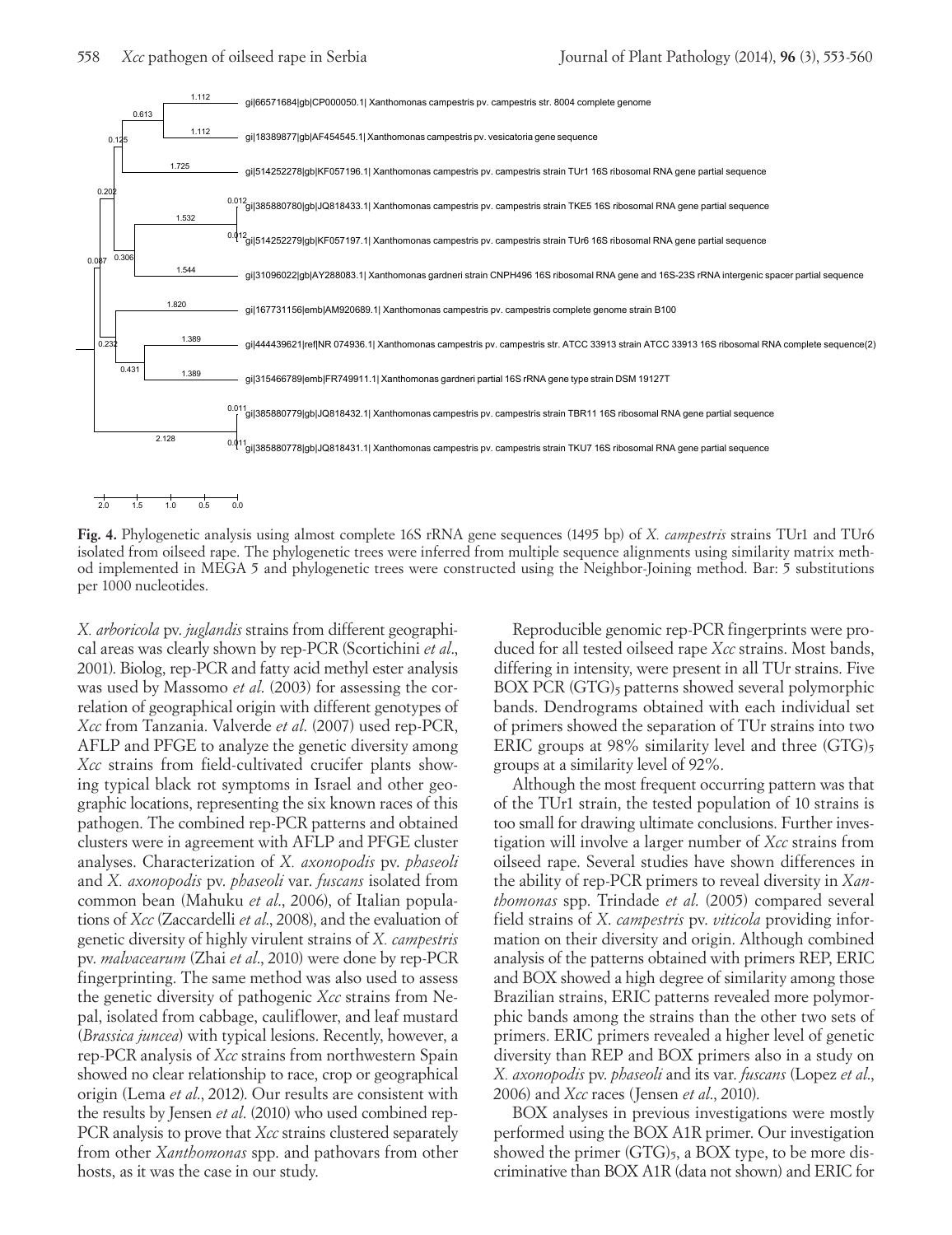

2.0 1.5 1.0 0.5 0.0

**Fig. 4.** Phylogenetic analysis using almost complete 16S rRNA gene sequences (1495 bp) of *X. campestris* strains TUr1 and TUr6 isolated from oilseed rape. The phylogenetic trees were inferred from multiple sequence alignments using similarity matrix method implemented in MEGA 5 and phylogenetic trees were constructed using the Neighbor-Joining method. Bar: 5 substitutions per 1000 nucleotides.

*X. arboricola* pv. *juglandis* strains from different geographical areas was clearly shown by rep-PCR (Scortichini *et al*., 2001). Biolog, rep-PCR and fatty acid methyl ester analysis was used by Massomo *et al*. (2003) for assessing the correlation of geographical origin with different genotypes of *Xcc* from Tanzania. Valverde *et al*. (2007) used rep-PCR, AFLP and PFGE to analyze the genetic diversity among *Xcc* strains from field-cultivated crucifer plants showing typical black rot symptoms in Israel and other geographic locations, representing the six known races of this pathogen. The combined rep-PCR patterns and obtained clusters were in agreement with AFLP and PFGE cluster analyses. Characterization of *X. axonopodis* pv. *phaseoli* and *X. axonopodis* pv. *phaseoli* var. *fuscans* isolated from common bean (Mahuku *et al*., 2006), of Italian populations of *Xcc* (Zaccardelli *et al*., 2008), and the evaluation of genetic diversity of highly virulent strains of *X. campestris* pv. *malvacearum* (Zhai *et al*., 2010) were done by rep-PCR fingerprinting. The same method was also used to assess the genetic diversity of pathogenic *Xcc* strains from Nepal, isolated from cabbage, cauliflower, and leaf mustard (*Brassica juncea*) with typical lesions. Recently, however, a rep-PCR analysis of *Xcc* strains from northwestern Spain showed no clear relationship to race, crop or geographical origin (Lema *et al*., 2012). Our results are consistent with the results by Jensen *et al*. (2010) who used combined rep-PCR analysis to prove that *Xcc* strains clustered separately from other *Xanthomonas* spp. and pathovars from other hosts, as it was the case in our study.

Reproducible genomic rep-PCR fingerprints were produced for all tested oilseed rape *Xcc* strains. Most bands, differing in intensity, were present in all TUr strains. Five BOX PCR (GTG)<sub>5</sub> patterns showed several polymorphic bands. Dendrograms obtained with each individual set of primers showed the separation of TUr strains into two ERIC groups at 98% similarity level and three  $(GTG)_5$ groups at a similarity level of 92%.

Although the most frequent occurring pattern was that of the TUr1 strain, the tested population of 10 strains is too small for drawing ultimate conclusions. Further investigation will involve a larger number of *Xcc* strains from oilseed rape. Several studies have shown differences in the ability of rep-PCR primers to reveal diversity in *Xanthomonas* spp. Trindade *et al*. (2005) compared several field strains of *X*. *campestris* pv. *viticola* providing information on their diversity and origin. Although combined analysis of the patterns obtained with primers REP, ERIC and BOX showed a high degree of similarity among those Brazilian strains, ERIC patterns revealed more polymorphic bands among the strains than the other two sets of primers. ERIC primers revealed a higher level of genetic diversity than REP and BOX primers also in a study on *X. axonopodis* pv. *phaseoli* and its var. *fuscans* (Lopez *et al*., 2006) and *Xcc* races (Jensen *et al*., 2010).

BOX analyses in previous investigations were mostly performed using the BOX A1R primer. Our investigation showed the primer  $(GTG)_5$ , a BOX type, to be more discriminative than BOX A1R (data not shown) and ERIC for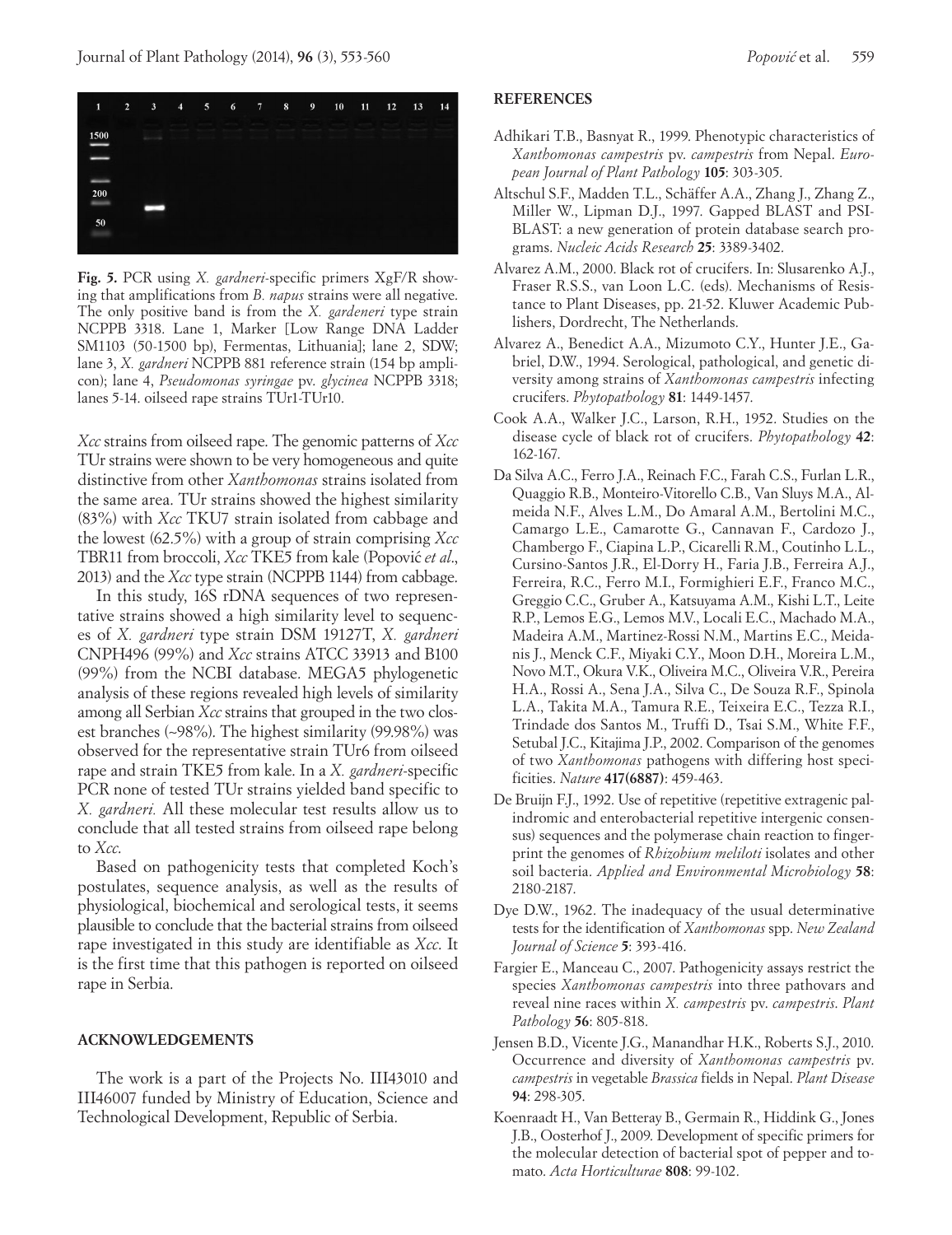

**Fig. 5.** PCR using *X. gardneri*-specific primers XgF/R showing that amplifications from *B. napus* strains were all negative. The only positive band is from the *X. gardeneri* type strain NCPPB 3318. Lane 1, Marker [Low Range DNA Ladder SM1103 (50-1500 bp), Fermentas, Lithuania]; lane 2, SDW; lane 3, *X. gardneri* NCPPB 881 reference strain (154 bp amplicon); lane 4, *Pseudomonas syringae* pv. *glycinea* NCPPB 3318; lanes 5-14. oilseed rape strains TUr1-TUr10.

*Xcc* strains from oilseed rape. The genomic patterns of *Xcc* TUr strains were shown to be very homogeneous and quite distinctive from other *Xanthomonas* strains isolated from the same area. TUr strains showed the highest similarity (83%) with *Xcc* TKU7 strain isolated from cabbage and the lowest (62.5%) with a group of strain comprising *Xcc* TBR11 from broccoli, *Xcc* TKE5 from kale (Popović *et al.*, 2013) and the *Xcc* type strain (NCPPB 1144) from cabbage.

In this study, 16S rDNA sequences of two representative strains showed a high similarity level to sequences of *X. gardneri* type strain DSM 19127T, *X. gardneri* CNPH496 (99%) and *Xcc* strains ATCC 33913 and B100 (99%) from the NCBI database. MEGA5 phylogenetic analysis of these regions revealed high levels of similarity among all Serbian *Xcc* strains that grouped in the two closest branches (~98%). The highest similarity (99.98%) was observed for the representative strain TUr6 from oilseed rape and strain TKE5 from kale. In a *X. gardneri*-specific PCR none of tested TUr strains yielded band specific to *X. gardneri.* All these molecular test results allow us to conclude that all tested strains from oilseed rape belong to *Xcc*.

Based on pathogenicity tests that completed Koch's postulates, sequence analysis, as well as the results of physiological, biochemical and serological tests, it seems plausible to conclude that the bacterial strains from oilseed rape investigated in this study are identifiable as *Xcc*. It is the first time that this pathogen is reported on oilseed rape in Serbia.

#### **ACKNOWLEDGEMENTS**

The work is a part of the Projects No. III43010 and III46007 funded by Ministry of Education, Science and Technological Development, Republic of Serbia.

#### **REFERENCES**

- Adhikari T.B., Basnyat R., 1999. Phenotypic characteristics of *Xanthomonas campestris* pv. *campestris* from Nepal. *European Journal of Plant Pathology* **105**: 303-305.
- Altschul S.F., Madden T.L., Schäffer A.A., Zhang J., Zhang Z., Miller W., Lipman D.J., 1997. Gapped BLAST and PSI-BLAST: a new generation of protein database search programs. *Nucleic Acids Research* **25**: 3389-3402.
- Alvarez A.M., 2000. Black rot of crucifers. In: Slusarenko A.J., Fraser R.S.S., van Loon L.C. (eds). Mechanisms of Resistance to Plant Diseases, pp. 21-52. Kluwer Academic Publishers, Dordrecht, The Netherlands.
- Alvarez A., Benedict A.A., Mizumoto C.Y., Hunter J.E., Gabriel, D.W., 1994. Serological, pathological, and genetic diversity among strains of *Xanthomonas campestris* infecting crucifers. *Phytopathology* **81**: 1449-1457.
- Cook A.A., Walker J.C., Larson, R.H., 1952. Studies on the disease cycle of black rot of crucifers. *Phytopathology* **42**: 162-167.
- Da Silva A.C., Ferro J.A., Reinach F.C., Farah C.S., Furlan L.R., Quaggio R.B., Monteiro-Vitorello C.B., Van Sluys M.A., Almeida N.F., Alves L.M., Do Amaral A.M., Bertolini M.C., Camargo L.E., Camarotte G., Cannavan F., Cardozo J., Chambergo F., Ciapina L.P., Cicarelli R.M., Coutinho L.L., Cursino-Santos J.R., El-Dorry H., Faria J.B., Ferreira A.J., Ferreira, R.C., Ferro M.I., Formighieri E.F., Franco M.C., Greggio C.C., Gruber A., Katsuyama A.M., Kishi L.T., Leite R.P., Lemos E.G., Lemos M.V., Locali E.C., Machado M.A., Madeira A.M., Martinez-Rossi N.M., Martins E.C., Meidanis J., Menck C.F., Miyaki C.Y., Moon D.H., Moreira L.M., Novo M.T., Okura V.K., Oliveira M.C., Oliveira V.R., Pereira H.A., Rossi A., Sena J.A., Silva C., De Souza R.F., Spinola L.A., Takita M.A., Tamura R.E., Teixeira E.C., Tezza R.I., Trindade dos Santos M., Truffi D., Tsai S.M., White F.F., Setubal J.C., Kitajima J.P., 2002. Comparison of the genomes of two *Xanthomonas* pathogens with differing host specificities. *Nature* **417(6887)**: 459-463.
- De Bruijn F.J., 1992. Use of repetitive (repetitive extragenic palindromic and enterobacterial repetitive intergenic consensus) sequences and the polymerase chain reaction to fingerprint the genomes of *Rhizobium meliloti* isolates and other soil bacteria. *Applied and Environmental Microbiology* **58**: 2180-2187.
- Dye D.W., 1962. The inadequacy of the usual determinative tests for the identification of *Xanthomonas* spp. *New Zealand Journal of Science* **5**: 393-416.
- Fargier E., Manceau C., 2007. Pathogenicity assays restrict the species *Xanthomonas campestris* into three pathovars and reveal nine races within *X. campestris* pv. *campestris*. *Plant Pathology* **56**: 805-818.
- Jensen B.D., Vicente J.G., Manandhar H.K., Roberts S.J., 2010. Occurrence and diversity of *Xanthomonas campestris* pv. *campestris* in vegetable *Brassica* fields in Nepal. *Plant Disease* **94**: 298-305.
- Koenraadt H., Van Betteray B., Germain R., Hiddink G., Jones J.B., Oosterhof J., 2009. Development of specific primers for the molecular detection of bacterial spot of pepper and tomato. *Acta Horticulturae* **808**: 99-102.